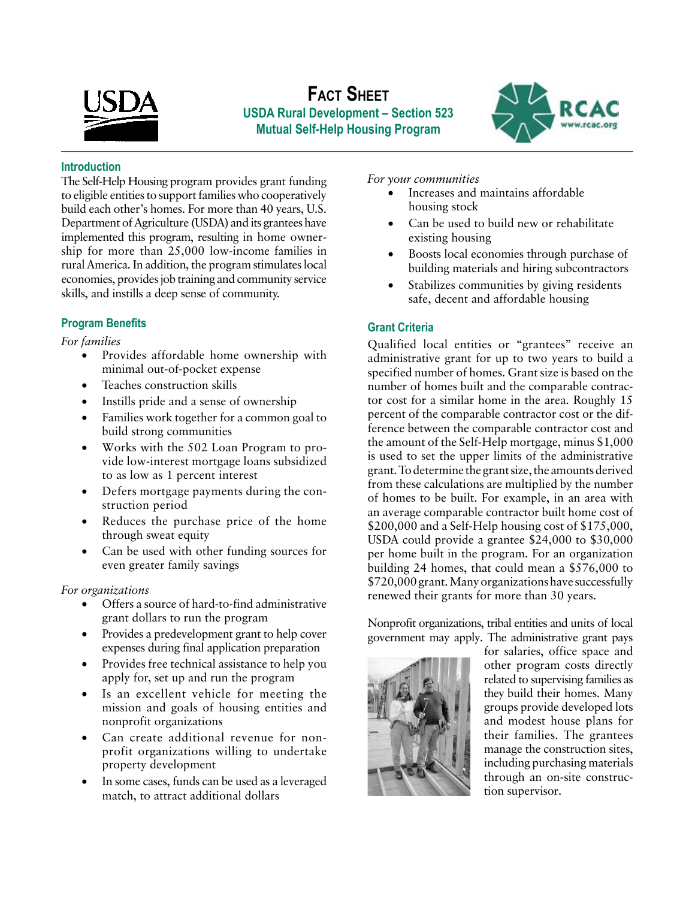

# **Fact Sheet USDA Rural Development – Section 523 Mutual Self-Help Housing Program**



#### **Introduction**

The Self-Help Housing program provides grant funding to eligible entities to support families who cooperatively build each other's homes. For more than 40 years, U.S. Department of Agriculture (USDA) and its grantees have implemented this program, resulting in home ownership for more than 25,000 low-income families in rural America. In addition, the program stimulates local economies, provides job training and community service skills, and instills a deep sense of community.

## **Program Benefits**

#### *For families*

- Provides affordable home ownership with minimal out-of-pocket expense
- Teaches construction skills
- Instills pride and a sense of ownership
- Families work together for a common goal to build strong communities
- Works with the 502 Loan Program to provide low-interest mortgage loans subsidized to as low as 1 percent interest
- Defers mortgage payments during the construction period
- Reduces the purchase price of the home through sweat equity
- Can be used with other funding sources for even greater family savings

### *For organizations*

- Offers a source of hard-to-find administrative grant dollars to run the program
- Provides a predevelopment grant to help cover expenses during final application preparation
- Provides free technical assistance to help you apply for, set up and run the program
- Is an excellent vehicle for meeting the mission and goals of housing entities and nonprofit organizations
- Can create additional revenue for nonprofit organizations willing to undertake property development
- In some cases, funds can be used as a leveraged match, to attract additional dollars

#### *For your communities*

- Increases and maintains affordable housing stock
- Can be used to build new or rehabilitate existing housing
- Boosts local economies through purchase of building materials and hiring subcontractors
- Stabilizes communities by giving residents safe, decent and affordable housing

## **Grant Criteria**

Qualified local entities or "grantees" receive an administrative grant for up to two years to build a specified number of homes. Grant size is based on the number of homes built and the comparable contractor cost for a similar home in the area. Roughly 15 percent of the comparable contractor cost or the difference between the comparable contractor cost and the amount of the Self-Help mortgage, minus \$1,000 is used to set the upper limits of the administrative grant. To determine the grant size, the amounts derived from these calculations are multiplied by the number of homes to be built. For example, in an area with an average comparable contractor built home cost of \$200,000 and a Self-Help housing cost of \$175,000, USDA could provide a grantee \$24,000 to \$30,000 per home built in the program. For an organization building 24 homes, that could mean a \$576,000 to \$720,000 grant. Many organizations have successfully renewed their grants for more than 30 years.

Nonprofit organizations, tribal entities and units of local government may apply. The administrative grant pays



for salaries, office space and other program costs directly related to supervising families as they build their homes. Many groups provide developed lots and modest house plans for their families. The grantees manage the construction sites, including purchasing materials through an on-site construction supervisor.